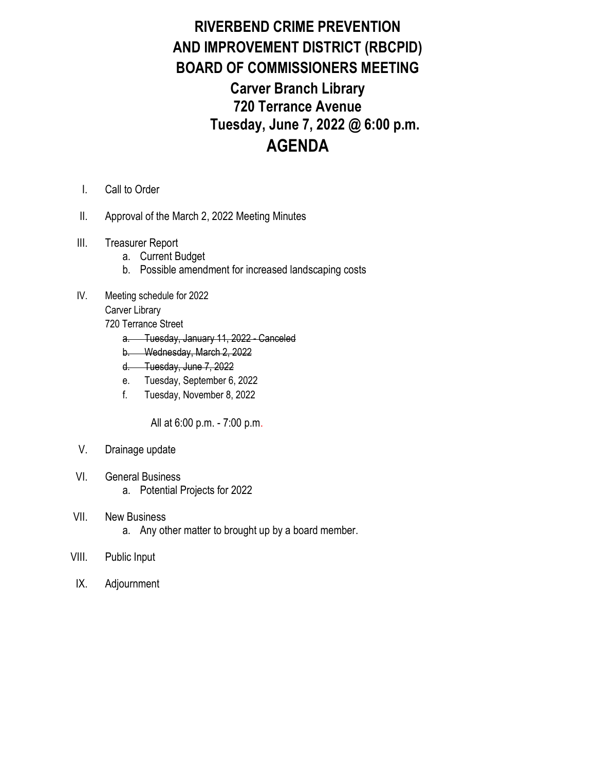## RIVERBEND CRIME PREVENTION AND IMPROVEMENT DISTRICT (RBCPID) BOARD OF COMMISSIONERS MEETING Carver Branch Library 720 Terrance Avenue Tuesday, June 7, 2022 @ 6:00 p.m. AGENDA

- I. Call to Order
- II. Approval of the March 2, 2022 Meeting Minutes
- III. Treasurer Report
	- a. Current Budget
	- b. Possible amendment for increased landscaping costs
- IV. Meeting schedule for 2022

Carver Library

- 720 Terrance Street
	- a. Tuesday, January 11, 2022 Canceled
	- b. Wednesday, March 2, 2022
	- d. Tuesday, June 7, 2022
	- e. Tuesday, September 6, 2022
	- f. Tuesday, November 8, 2022

All at 6:00 p.m. - 7:00 p.m.

- V. Drainage update
- VI. General Business
	- a. Potential Projects for 2022
- VII. New Business
	- a. Any other matter to brought up by a board member.
- VIII. Public Input
- IX. Adjournment